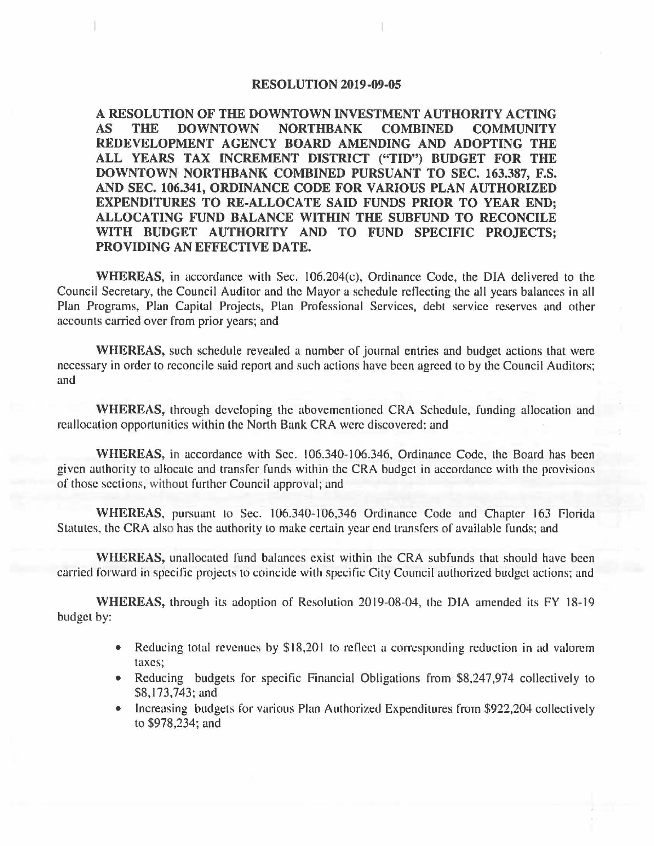#### **RESOLUTION 2019-09-05**

**A RESOLUTION OF THE DOWNTOWN INVESTMENT AUTHORITY ACTING AS THE DOWNTOWN NORTHBANK COMBINED COMMUNITY REDEVELOPMENT AGENCY BOARD AMENDING AND ADOPTING THE ALL YEARS TAX INCREMENT DISTRICT ("TID") BUDGET FOR THE DOWNTOWN NORTHBANK COMBINED PURSUANT TO SEC. 163.387, F.S. AND SEC. 106.341, ORDINANCE CODE FOR VARIOUS PLAN AUTHORIZED EXPENDITURES TO RE-ALLOCATE SAID FUNDS PRIOR TO YEAR END; ALLOCATING FUND BALANCE WITHIN THE SUBFUND TO RECONCILE WITH BUDGET AUTHORITY AND TO FUND SPECIFIC PROJECTS; PROVIDING AN EFFECTIVE DATE.** 

**WHEREAS,** in accordance with Sec. 106.204(c), Ordinance Code, the DIA delivered to the Council Secretary, the Council Auditor and the Mayor a schedule reflecting the all years balances in all Plan Programs, Plan Capital Projects, Plan Professional Services, debt service reserves and other accounts carried over from prior years; and

**WHEREAS,** such schedule revealed a number of journal entries and budget actions that were necessary in order lo reconcile said report and such actions have been agreed to by the Council Auditors; and

**WHEREAS,** through developing the abovementioned CRA Schedule, funding allocation and reallocation opportunities within the North Bank CRA were discovered; and

WHEREAS, in accordance with Sec. 106.340-106.346, Ordinance Code, the Board has been given authority to allocate and transfer funds within the CRA budget in accordance with the provisions of those sections, without further Council approval; and

WHEREAS, pursuant to Sec. 106.340-106,346 Ordinance Code and Chapter 163 Florida Statutes, the CRA also has the authority to make certain year end transfers of available funds; and

**WHEREAS,** unallocated fund balances exist within the CRA subfunds that should have been carried forward in specific projects to coincide with specific City Council authorized budget actions; and

**WHEREAS,** through its adoption of Resolution 2019-08-04, the DIA amended its FY 18-19 budget by:

- Reducing total revenues by \$18,201 to reflect a corresponding reduction in ad valorem taxes;
- Reducing budgets for specific Financial Obligations from \$8,247,974 collectively to \$8,173,743; and
- Increasing budgets for various Plan Authorized Expenditures from \$922,204 collectively to \$978,234; and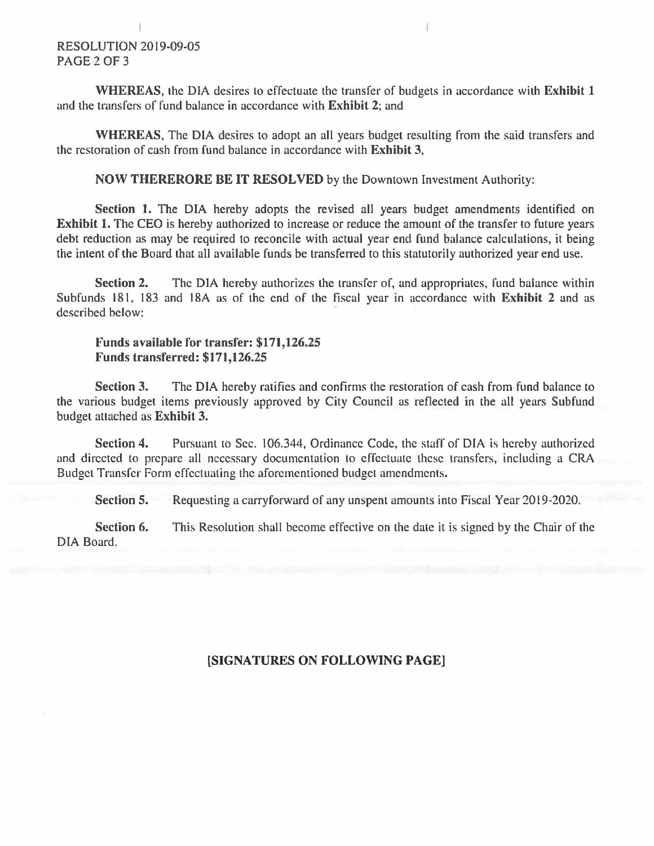### RESOLUTION 2019-09-05 PAGE 2 OF 3

**WHEREAS,** the DIA desires to effectuate the transfer of budgets in accordance with **Exhibit 1**  and the transfers of fund balance in accordance with **Exhibit 2;** and

**WHEREAS,** The DIA desires to adopt an all years budget resulting from the said transfers and the restoration of cash from fund balance in accordance with **Exhibit 3,** 

**NOW THERERORE BE IT RESOLVED** by the Downtown Investment Authority:

Section 1. The DIA hereby adopts the revised all years budget amendments identified on **Exhibit 1.** The CEO is hereby authorized to increase or reduce the amount of the transfer to future years debt reduction as may be required to reconcile with actual year end fund balance calculations, it being the intent of the Board that all available funds be transferred to this statutorily authorized year end use.

**Section 2.** The DIA hereby authorizes the transfer of, and appropriates, fund balance within Subfunds 181, 183 and 18A as of the end of the fiscal year in accordance with **Exhibit 2** and as described below:

#### **Funds available for transfer: \$171,126.25 Funds transferred: \$171,126.25**

**Section 3.** The DIA hereby ratifies and confirms the restoration of cash from fund balance to the various budget items previously approved by City Council as reflected in the all years Subfund budget attached as **Exhibit 3.** 

**Section 4.** Pursuant to Sec. 106.344, Ordinance Code, the staff of DIA is hereby authorized and directed to prepare all necessary documentation to effectuate these transfers, including a CRA Budget Transfer Form effectuating the aforementioned budget amendments.

**Section 5.**  Requesting a carryforward of any unspent amounts into Fiscal Year 2019-2020.

**Section 6.**  DIA Board. This Resolution shall become effective on the date it is signed by the Chair of the

### **[SIGNATURES ON FOLLOWING PAGE]**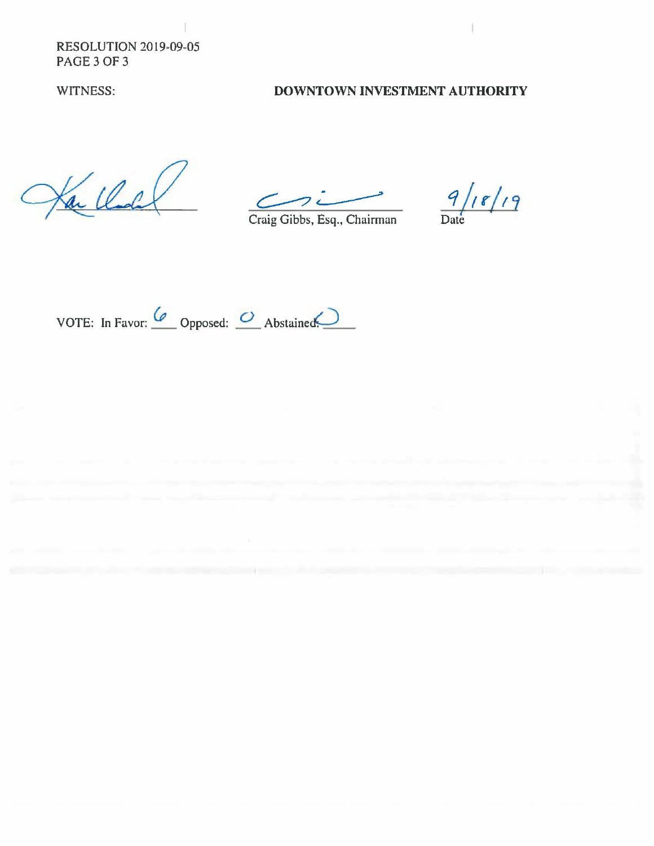RESOLUTION 2019-09-05 PAGE 3 OF 3

### WITNESS: **DOWNTOWN INVESTMENT AUTHORITY**

Kar Charles

 $C_2$  $\overbrace{\hspace{2.5cm}}$  Gibbs, Esq., Chairman  $\overbrace{\hspace{2.5cm}}^{0}$ 

Craig

VOTE: In Favor: <u>Co</u> Opposed: <u>O</u> Abstained: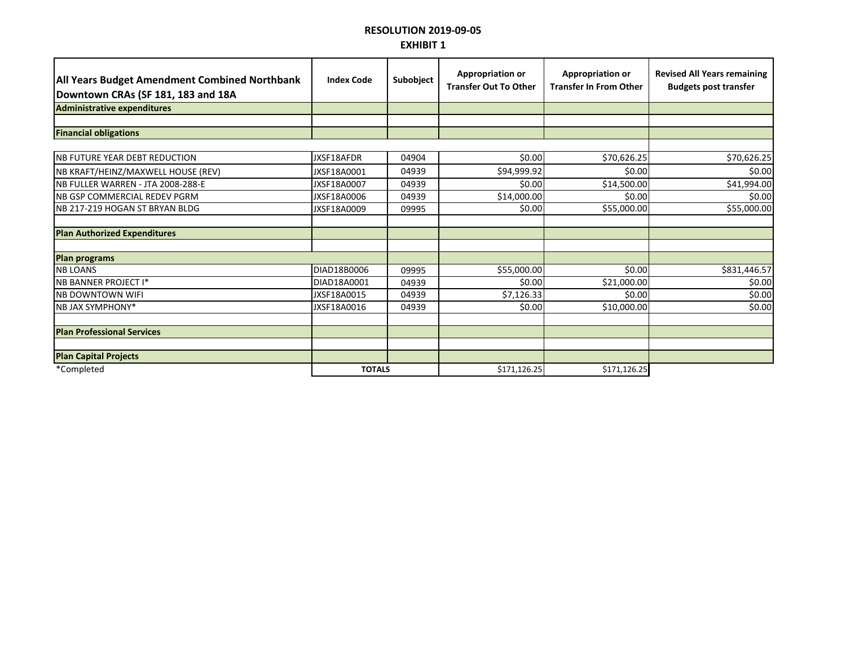## **RESOLUTION 2019-09-05 EXHIBIT 1**

| <b>All Years Budget Amendment Combined Northbank</b><br>Downtown CRAs (SF 181, 183 and 18A | <b>Index Code</b> | Subobject | <b>Appropriation or</b><br><b>Transfer Out To Other</b> | <b>Appropriation or</b><br><b>Transfer In From Other</b> | <b>Revised All Years remaining</b><br><b>Budgets post transfer</b> |
|--------------------------------------------------------------------------------------------|-------------------|-----------|---------------------------------------------------------|----------------------------------------------------------|--------------------------------------------------------------------|
| Administrative expenditures                                                                |                   |           |                                                         |                                                          |                                                                    |
|                                                                                            |                   |           |                                                         |                                                          |                                                                    |
| <b>Financial obligations</b>                                                               |                   |           |                                                         |                                                          |                                                                    |
|                                                                                            |                   |           |                                                         |                                                          |                                                                    |
| <b>NB FUTURE YEAR DEBT REDUCTION</b>                                                       | JXSF18AFDR        | 04904     | \$0.00                                                  | \$70,626.25                                              | \$70,626.25                                                        |
| NB KRAFT/HEINZ/MAXWELL HOUSE (REV)                                                         | JXSF18A0001       | 04939     | \$94,999.92                                             | \$0.00                                                   | \$0.00                                                             |
| NB FULLER WARREN - JTA 2008-288-E                                                          | JXSF18A0007       | 04939     | \$0.00                                                  | \$14,500.00                                              | \$41,994.00                                                        |
| <b>NB GSP COMMERCIAL REDEV PGRM</b>                                                        | JXSF18A0006       | 04939     | \$14,000.00                                             | \$0.00                                                   | \$0.00                                                             |
| NB 217-219 HOGAN ST BRYAN BLDG                                                             | JXSF18A0009       | 09995     | \$0.00                                                  | \$55,000.00                                              | \$55,000.00                                                        |
|                                                                                            |                   |           |                                                         |                                                          |                                                                    |
| <b>Plan Authorized Expenditures</b>                                                        |                   |           |                                                         |                                                          |                                                                    |
|                                                                                            |                   |           |                                                         |                                                          |                                                                    |
| <b>Plan programs</b>                                                                       |                   |           |                                                         |                                                          |                                                                    |
| <b>NB LOANS</b>                                                                            | DIAD18B0006       | 09995     | \$55,000.00                                             | \$0.00                                                   | \$831,446.57                                                       |
| <b>NB BANNER PROJECT I*</b>                                                                | DIAD18A0001       | 04939     | \$0.00                                                  | \$21,000.00                                              | \$0.00                                                             |
| <b>NB DOWNTOWN WIFI</b>                                                                    | JXSF18A0015       | 04939     | \$7,126.33                                              | \$0.00                                                   | \$0.00                                                             |
| <b>NB JAX SYMPHONY*</b>                                                                    | JXSF18A0016       | 04939     | \$0.00                                                  | \$10,000.00                                              | \$0.00                                                             |
|                                                                                            |                   |           |                                                         |                                                          |                                                                    |
| <b>Plan Professional Services</b>                                                          |                   |           |                                                         |                                                          |                                                                    |
|                                                                                            |                   |           |                                                         |                                                          |                                                                    |
| <b>Plan Capital Projects</b>                                                               |                   |           |                                                         |                                                          |                                                                    |
| *Completed                                                                                 | <b>TOTALS</b>     |           | \$171,126.25                                            | \$171,126.25                                             |                                                                    |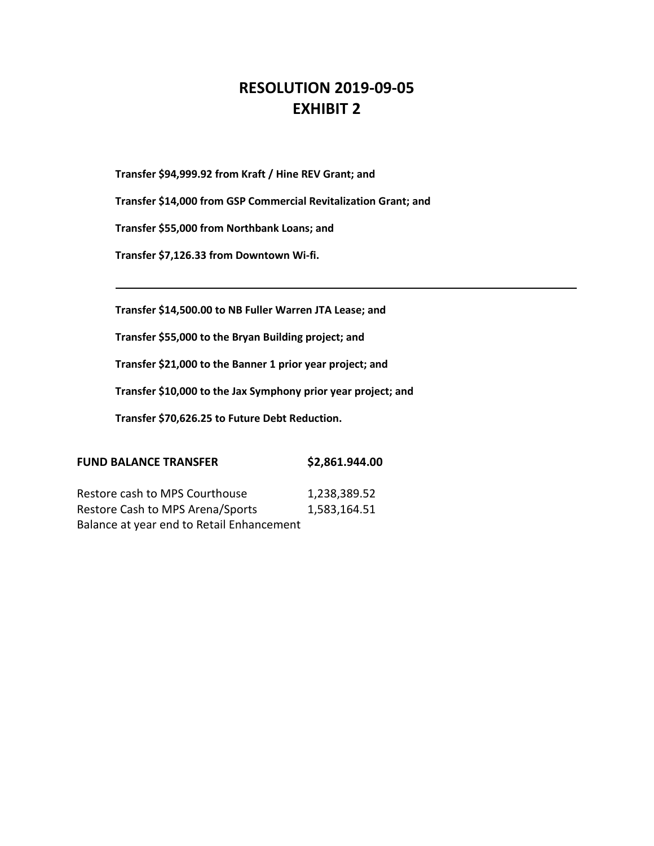# **RESOLUTION 2019-09-05 EXHIBIT 2**

**Transfer \$94,999.92 from Kraft / Hine REV Grant; and**

**Transfer \$14,000 from GSP Commercial Revitalization Grant; and**

**Transfer \$55,000 from Northbank Loans; and**

**Transfer \$7,126.33 from Downtown Wi-fi.**

**Transfer \$14,500.00 to NB Fuller Warren JTA Lease; and**

**Transfer \$55,000 to the Bryan Building project; and**

**Transfer \$21,000 to the Banner 1 prior year project; and**

**Transfer \$10,000 to the Jax Symphony prior year project; and**

**Transfer \$70,626.25 to Future Debt Reduction.** 

| <b>FUND BALANCE TRANSFER</b> | \$2,861.944.00 |
|------------------------------|----------------|
|                              |                |

Restore cash to MPS Courthouse 1,238,389.52 Restore Cash to MPS Arena/Sports 1,583,164.51 Balance at year end to Retail Enhancement